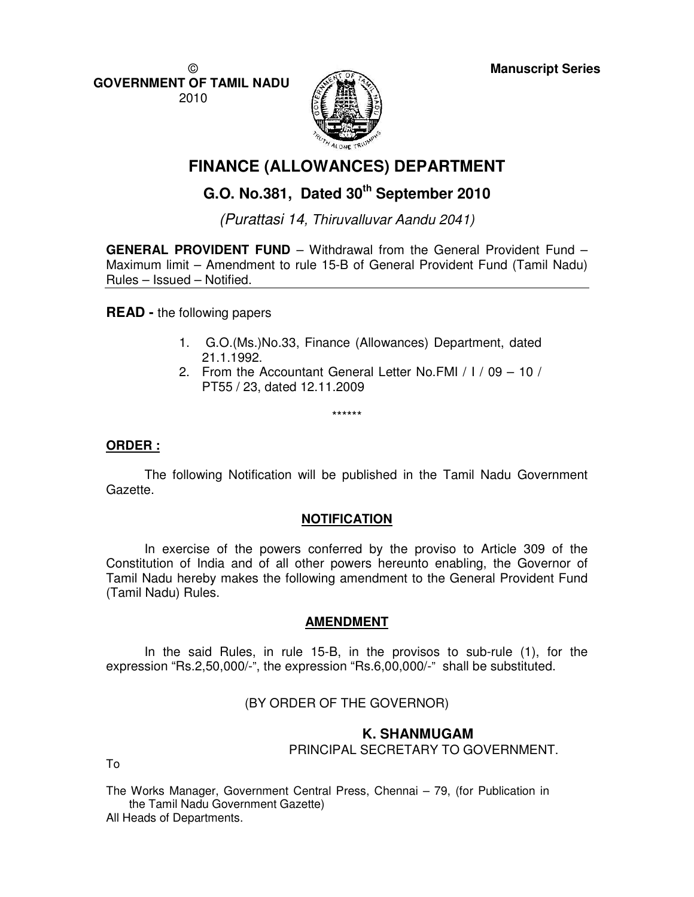©

**GOVERNMENT OF TAMIL NADU**  2010



# **FINANCE (ALLOWANCES) DEPARTMENT**

## **G.O. No.381, Dated 30th September 2010**

(Purattasi 14, Thiruvalluvar Aandu 2041)

**GENERAL PROVIDENT FUND** – Withdrawal from the General Provident Fund – Maximum limit – Amendment to rule 15-B of General Provident Fund (Tamil Nadu) Rules – Issued – Notified.

**READ -** the following papers

- 1. G.O.(Ms.)No.33, Finance (Allowances) Department, dated 21.1.1992.
- 2. From the Accountant General Letter No.FMI / I / 09 10 / PT55 / 23, dated 12.11.2009

\*\*\*\*\*\*

### **ORDER :**

 The following Notification will be published in the Tamil Nadu Government Gazette.

#### **NOTIFICATION**

 In exercise of the powers conferred by the proviso to Article 309 of the Constitution of India and of all other powers hereunto enabling, the Governor of Tamil Nadu hereby makes the following amendment to the General Provident Fund (Tamil Nadu) Rules.

## **AMENDMENT**

 In the said Rules, in rule 15-B, in the provisos to sub-rule (1), for the expression "Rs.2,50,000/-", the expression "Rs.6,00,000/-" shall be substituted.

(BY ORDER OF THE GOVERNOR)

#### **K. SHANMUGAM**  PRINCIPAL SECRETARY TO GOVERNMENT.

To

The Works Manager, Government Central Press, Chennai – 79, (for Publication in the Tamil Nadu Government Gazette) All Heads of Departments.